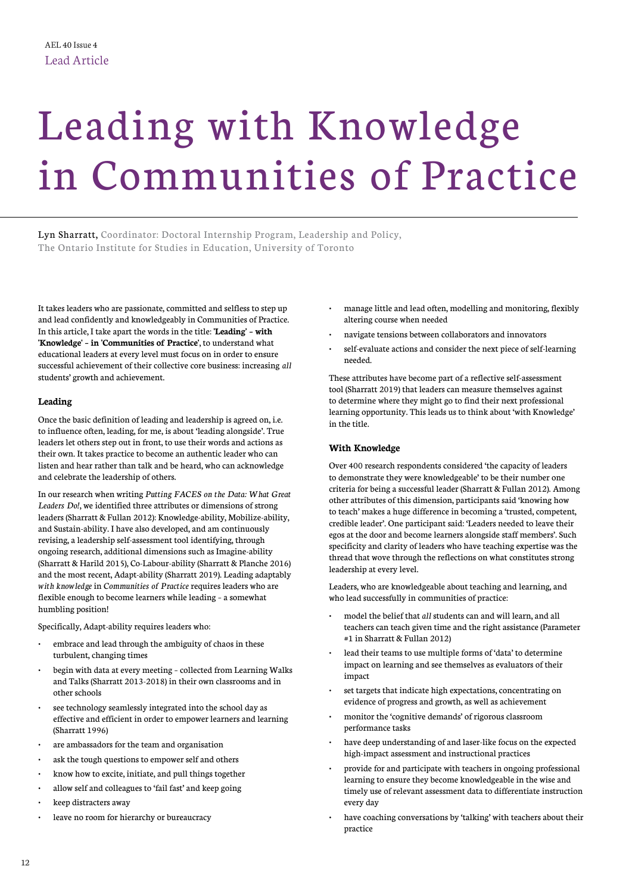# Leading with Knowledge in Communities of Practice

Lyn Sharratt, Coordinator: Doctoral Internship Program, Leadership and Policy, The Ontario Institute for Studies in Education, University of Toronto

It takes leaders who are passionate, committed and selfless to step up and lead confidently and knowledgeably in Communities of Practice. In this article, I take apart the words in the title: **'Leading' – with 'Knowledge' – in 'Communities of Practice'**, to understand what educational leaders at every level must focus on in order to ensure successful achievement of their collective core business: increasing *all*  students' growth and achievement.

## **Leading**

Once the basic definition of leading and leadership is agreed on, i.e. to influence often, leading, for me, is about 'leading alongside'. True leaders let others step out in front, to use their words and actions as their own. It takes practice to become an authentic leader who can listen and hear rather than talk and be heard, who can acknowledge and celebrate the leadership of others.

In our research when writing *Putting FACES on the Data: What Great Leaders Do!*, we identified three attributes or dimensions of strong leaders (Sharratt & Fullan 2012): Knowledge-ability, Mobilize-ability, and Sustain-ability. I have also developed, and am continuously revising, a leadership self-assessment tool identifying, through ongoing research, additional dimensions such as Imagine-ability (Sharratt & Harild 2015), Co-Labour-ability (Sharratt & Planche 2016) and the most recent, Adapt-ability (Sharratt 2019). Leading adaptably *with knowledge* in *Communities of Practice* requires leaders who are flexible enough to become learners while leading – a somewhat humbling position!

Specifically, Adapt-ability requires leaders who:

- embrace and lead through the ambiguity of chaos in these turbulent, changing times
- begin with data at every meeting collected from Learning Walks and Talks (Sharratt 2013-2018) in their own classrooms and in other schools
- see technology seamlessly integrated into the school day as effective and efficient in order to empower learners and learning (Sharratt 1996)
- are ambassadors for the team and organisation
- ask the tough questions to empower self and others
- know how to excite, initiate, and pull things together
- allow self and colleagues to 'fail fast' and keep going
- keep distracters away
- leave no room for hierarchy or bureaucracy
- manage little and lead often, modelling and monitoring, flexibly altering course when needed
- navigate tensions between collaborators and innovators
- self-evaluate actions and consider the next piece of self-learning needed.

These attributes have become part of a reflective self-assessment tool (Sharratt 2019) that leaders can measure themselves against to determine where they might go to find their next professional learning opportunity. This leads us to think about 'with Knowledge' in the title.

# **With Knowledge**

Over 400 research respondents considered 'the capacity of leaders to demonstrate they were knowledgeable' to be their number one criteria for being a successful leader (Sharratt & Fullan 2012). Among other attributes of this dimension, participants said 'knowing how to teach' makes a huge difference in becoming a 'trusted, competent, credible leader'. One participant said: 'Leaders needed to leave their egos at the door and become learners alongside staff members'. Such specificity and clarity of leaders who have teaching expertise was the thread that wove through the reflections on what constitutes strong leadership at every level.

Leaders, who are knowledgeable about teaching and learning, and who lead successfully in communities of practice:

- model the belief that *all* students can and will learn, and all teachers can teach given time and the right assistance (Parameter #1 in Sharratt & Fullan 2012)
- lead their teams to use multiple forms of 'data' to determine impact on learning and see themselves as evaluators of their impact
- set targets that indicate high expectations, concentrating on evidence of progress and growth, as well as achievement
- monitor the 'cognitive demands' of rigorous classroom performance tasks
- have deep understanding of and laser-like focus on the expected high-impact assessment and instructional practices
- provide for and participate with teachers in ongoing professional learning to ensure they become knowledgeable in the wise and timely use of relevant assessment data to differentiate instruction every day
- have coaching conversations by 'talking' with teachers about their practice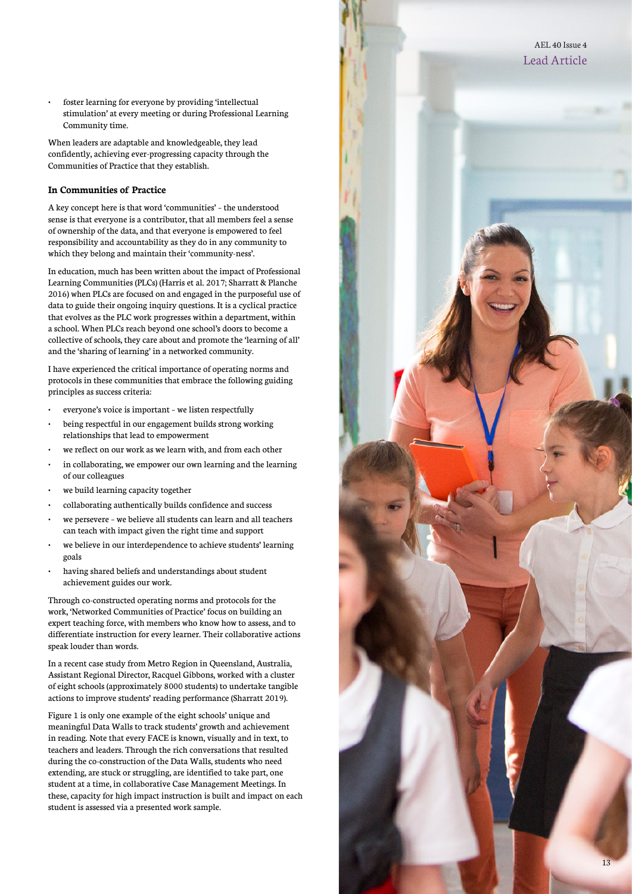foster learning for everyone by providing 'intellectual stimulation' at every meeting or during Professional Learning Community time.

When leaders are adaptable and knowledgeable, they lead confidently, achieving ever-progressing capacity through the Communities of Practice that they establish.

#### **In Communities of Practice**

A key concept here is that word 'communities' – the understood sense is that everyone is a contributor, that all members feel a sense of ownership of the data, and that everyone is empowered to feel responsibility and accountability as they do in any community to which they belong and maintain their 'community-ness'.

In education, much has been written about the impact of Professional Learning Communities (PLCs) (Harris et al. 2017; Sharratt & Planche 2016) when PLCs are focused on and engaged in the purposeful use of data to guide their ongoing inquiry questions. It is a cyclical practice that evolves as the PLC work progresses within a department, within a school. When PLCs reach beyond one school's doors to become a collective of schools, they care about and promote the 'learning of all' and the 'sharing of learning' in a networked community.

I have experienced the critical importance of operating norms and protocols in these communities that embrace the following guiding principles as success criteria:

- everyone's voice is important we listen respectfully
- being respectful in our engagement builds strong working relationships that lead to empowerment
- we reflect on our work as we learn with, and from each other
- in collaborating, we empower our own learning and the learning of our colleagues
- we build learning capacity together
- collaborating authentically builds confidence and success
- we persevere we believe all students can learn and all teachers can teach with impact given the right time and support
- we believe in our interdependence to achieve students' learning goals
- having shared beliefs and understandings about student achievement guides our work.

Through co-constructed operating norms and protocols for the work, 'Networked Communities of Practice' focus on building an expert teaching force, with members who know how to assess, and to differentiate instruction for every learner. Their collaborative actions speak louder than words.

In a recent case study from Metro Region in Queensland, Australia, Assistant Regional Director, Racquel Gibbons, worked with a cluster of eight schools (approximately 8000 students) to undertake tangible actions to improve students' reading performance (Sharratt 2019).

Figure 1 is only one example of the eight schools' unique and meaningful Data Walls to track students' growth and achievement in reading. Note that every FACE is known, visually and in text, to teachers and leaders. Through the rich conversations that resulted during the co-construction of the Data Walls, students who need extending, are stuck or struggling, are identified to take part, one student at a time, in collaborative Case Management Meetings. In these, capacity for high impact instruction is built and impact on each student is assessed via a presented work sample.

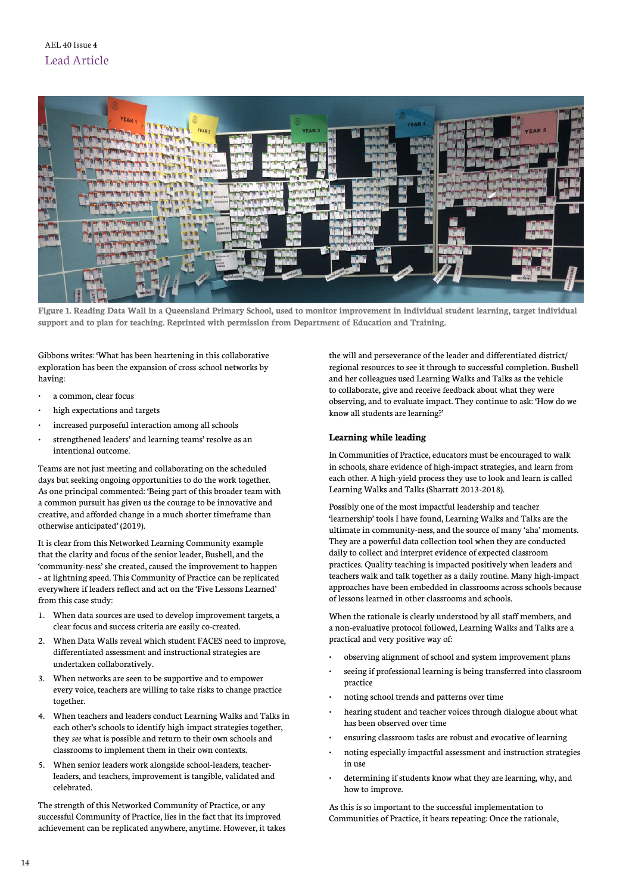

**Figure 1. Reading Data Wall in a Queensland Primary School, used to monitor improvement in individual student learning, target individual support and to plan for teaching. Reprinted with permission from Department of Education and Training.**

Gibbons writes: 'What has been heartening in this collaborative exploration has been the expansion of cross-school networks by having:

- a common, clear focus
- high expectations and targets
- increased purposeful interaction among all schools
- strengthened leaders' and learning teams' resolve as an intentional outcome.

Teams are not just meeting and collaborating on the scheduled days but seeking ongoing opportunities to do the work together. As one principal commented: 'Being part of this broader team with a common pursuit has given us the courage to be innovative and creative, and afforded change in a much shorter timeframe than otherwise anticipated' (2019).

It is clear from this Networked Learning Community example that the clarity and focus of the senior leader, Bushell, and the 'community-ness' she created, caused the improvement to happen – at lightning speed. This Community of Practice can be replicated everywhere if leaders reflect and act on the 'Five Lessons Learned' from this case study:

- 1. When data sources are used to develop improvement targets, a clear focus and success criteria are easily co-created.
- 2. When Data Walls reveal which student FACES need to improve, differentiated assessment and instructional strategies are undertaken collaboratively.
- 3. When networks are seen to be supportive and to empower every voice, teachers are willing to take risks to change practice together.
- 4. When teachers and leaders conduct Learning Walks and Talks in each other's schools to identify high-impact strategies together, they *see* what is possible and return to their own schools and classrooms to implement them in their own contexts.
- 5. When senior leaders work alongside school-leaders, teacherleaders, and teachers, improvement is tangible, validated and celebrated.

The strength of this Networked Community of Practice, or any successful Community of Practice, lies in the fact that its improved achievement can be replicated anywhere, anytime. However, it takes the will and perseverance of the leader and differentiated district/ regional resources to see it through to successful completion. Bushell and her colleagues used Learning Walks and Talks as the vehicle to collaborate, give and receive feedback about what they were observing, and to evaluate impact. They continue to ask: 'How do we know all students are learning?'

## **Learning while leading**

In Communities of Practice, educators must be encouraged to walk in schools, share evidence of high-impact strategies, and learn from each other. A high-yield process they use to look and learn is called Learning Walks and Talks (Sharratt 2013-2018).

Possibly one of the most impactful leadership and teacher 'learnership' tools I have found, Learning Walks and Talks are the ultimate in community-ness, and the source of many 'aha' moments. They are a powerful data collection tool when they are conducted daily to collect and interpret evidence of expected classroom practices. Quality teaching is impacted positively when leaders and teachers walk and talk together as a daily routine. Many high-impact approaches have been embedded in classrooms across schools because of lessons learned in other classrooms and schools.

When the rationale is clearly understood by all staff members, and a non-evaluative protocol followed, Learning Walks and Talks are a practical and very positive way of:

- observing alignment of school and system improvement plans
- seeing if professional learning is being transferred into classroom practice
- noting school trends and patterns over time
- hearing student and teacher voices through dialogue about what has been observed over time
- ensuring classroom tasks are robust and evocative of learning
- noting especially impactful assessment and instruction strategies in use
- determining if students know what they are learning, why, and how to improve.

As this is so important to the successful implementation to Communities of Practice, it bears repeating: Once the rationale,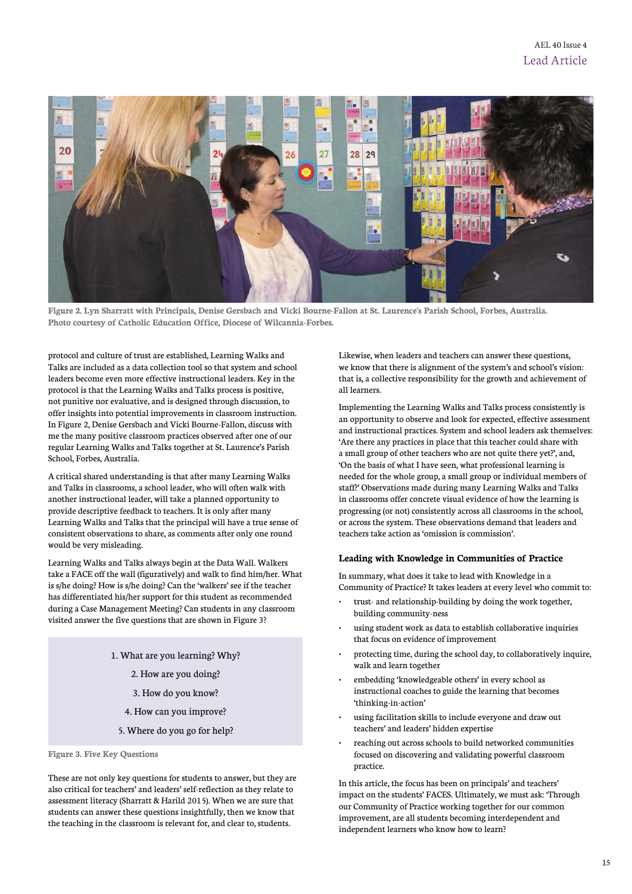

**Figure 2. Lyn Sharratt with Principals, Denise Gersbach and Vicki Bourne-Fallon at St. Laurence's Parish School, Forbes, Australia. Photo courtesy of Catholic Education Office, Diocese of Wilcannia-Forbes.**

protocol and culture of trust are established, Learning Walks and Talks are included as a data collection tool so that system and school leaders become even more effective instructional leaders. Key in the protocol is that the Learning Walks and Talks process is positive, not punitive nor evaluative, and is designed through discussion, to offer insights into potential improvements in classroom instruction. In Figure 2, Denise Gersbach and Vicki Bourne-Fallon, discuss with me the many positive classroom practices observed after one of our regular Learning Walks and Talks together at St. Laurence's Parish School, Forbes, Australia.

A critical shared understanding is that after many Learning Walks and Talks in classrooms, a school leader, who will often walk with another instructional leader, will take a planned opportunity to provide descriptive feedback to teachers. It is only after many Learning Walks and Talks that the principal will have a true sense of consistent observations to share, as comments after only one round would be very misleading.

Learning Walks and Talks always begin at the Data Wall. Walkers take a FACE off the wall (figuratively) and walk to find him/her. What is s/he doing? How is s/he doing? Can the 'walkers' see if the teacher has differentiated his/her support for this student as recommended during a Case Management Meeting? Can students in any classroom visited answer the five questions that are shown in Figure 3?

- 1. What are you learning? Why? 2. How are you doing? 3. How do you know? 4. How can you improve?
	- 5. Where do you go for help?

**Figure 3. Five Key Questions**

These are not only key questions for students to answer, but they are also critical for teachers' and leaders' self-reflection as they relate to assessment literacy (Sharratt & Harild 2015). When we are sure that students can answer these questions insightfully, then we know that the teaching in the classroom is relevant for, and clear to, students.

Likewise, when leaders and teachers can answer these questions, we know that there is alignment of the system's and school's vision: that is, a collective responsibility for the growth and achievement of all learners.

Implementing the Learning Walks and Talks process consistently is an opportunity to observe and look for expected, effective assessment and instructional practices. System and school leaders ask themselves: 'Are there any practices in place that this teacher could share with a small group of other teachers who are not quite there yet?', and, 'On the basis of what I have seen, what professional learning is needed for the whole group, a small group or individual members of staff?' Observations made during many Learning Walks and Talks in classrooms offer concrete visual evidence of how the learning is progressing (or not) consistently across all classrooms in the school, or across the system. These observations demand that leaders and teachers take action as 'omission is commission'.

#### **Leading with Knowledge in Communities of Practice**

In summary, what does it take to lead with Knowledge in a Community of Practice? It takes leaders at every level who commit to:

- trust- and relationship-building by doing the work together, building community-ness
- using student work as data to establish collaborative inquiries that focus on evidence of improvement
- protecting time, during the school day, to collaboratively inquire, walk and learn together
- embedding 'knowledgeable others' in every school as instructional coaches to guide the learning that becomes 'thinking-in-action'
- using facilitation skills to include everyone and draw out teachers' and leaders' hidden expertise
- reaching out across schools to build networked communities focused on discovering and validating powerful classroom practice.

In this article, the focus has been on principals' and teachers' impact on the students' FACES. Ultimately, we must ask: 'Through our Community of Practice working together for our common improvement, are all students becoming interdependent and independent learners who know how to learn?